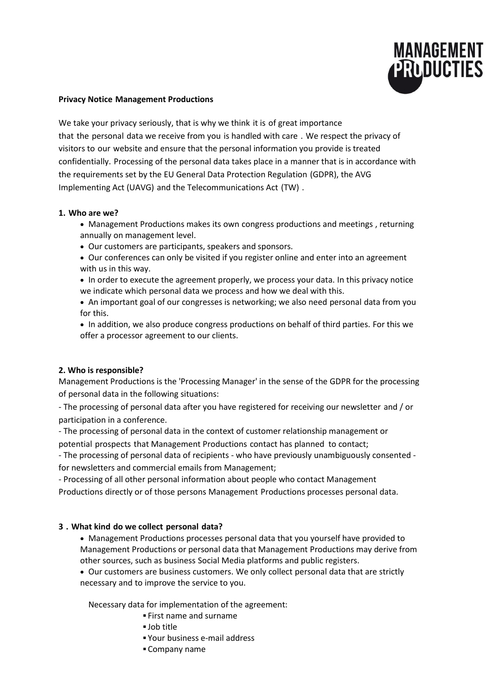

#### **Privacy Notice Management Productions**

We take your privacy seriously, that is why we think it is of great importance that the personal data we receive from you is handled with care . We respect the privacy of visitors to our website and ensure that the personal information you provide is treated confidentially. Processing of the personal data takes place in a manner that is in accordance with the requirements set by the EU General Data Protection Regulation (GDPR), the AVG Implementing Act (UAVG) and the Telecommunications Act (TW) .

#### **1. Who are we?**

- Management Productions makes its own congress productions and meetings , returning annually on management level.
- Our customers are participants, speakers and sponsors.
- Our conferences can only be visited if you register online and enter into an agreement with us in this way.

• In order to execute the agreement properly, we process your data. In this privacy notice we indicate which personal data we process and how we deal with this.

 An important goal of our congresses is networking; we also need personal data from you for this.

 In addition, we also produce congress productions on behalf of third parties. For this we offer a processor agreement to our clients.

#### **2. Who is responsible?**

Management Productions is the 'Processing Manager' in the sense of the GDPR for the processing of personal data in the following situations:

- The processing of personal data after you have registered for receiving our newsletter and / or participation in a conference.

- The processing of personal data in the context of customer relationship management or potential prospects that Management Productions contact has planned to contact;

- The processing of personal data of recipients - who have previously unambiguously consented for newsletters and commercial emails from Management;

- Processing of all other personal information about people who contact Management Productions directly or of those persons Management Productions processes personal data.

#### **3 . What kind do we collect personal data?**

 Management Productions processes personal data that you yourself have provided to Management Productions or personal data that Management Productions may derive from other sources, such as business Social Media platforms and public registers.

 Our customers are business customers. We only collect personal data that are strictly necessary and to improve the service to you.

Necessary data for implementation of the agreement:

- First name and surname
- Job title
- Your business e-mail address
- Company name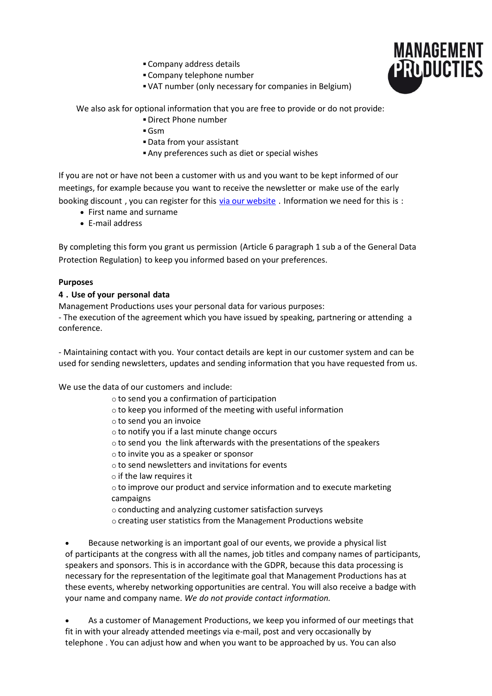- Company address details
- Company telephone number
- VAT number (only necessary for companies in Belgium)

We also ask for optional information that you are free to provide or do not provide:

- Direct Phone number
- Gsm
- Data from your assistant
- Any preferences such as diet or special wishes

If you are not or have not been a customer with us and you want to be kept informed of our meetings, for example because you want to receive the newsletter or make use of the early booking discount, you can register for this [via our website](https://translate.google.com/translate?hl=nl&prev=_t&sl=nl&tl=en&u=http://www.managementproducties.com/nl/nieuwsbrief-1). Information we need for this is :

- First name and surname
- E-mail address

By completing this form you grant us permission (Article 6 paragraph 1 sub a of the General Data Protection Regulation) to keep you informed based on your preferences.

## **Purposes**

## **4 . Use of your personal data**

Management Productions uses your personal data for various purposes: - The execution of the agreement which you have issued by speaking, partnering or attending a conference.

- Maintaining contact with you. Your contact details are kept in our customer system and can be used for sending newsletters, updates and sending information that you have requested from us.

We use the data of our customers and include:

- o to send you a confirmation of participation
- o to keep you informed of the meeting with useful information
- o to send you an invoice
- o to notify you if a last minute change occurs
- o to send you the link afterwards with the presentations of the speakers
- o to invite you as a speaker or sponsor
- o to send newsletters and invitations for events
- $\circ$  if the law requires it
- o to improve our product and service information and to execute marketing campaigns
- o conducting and analyzing customer satisfaction surveys
- o creating user statistics from the Management Productions website

 Because networking is an important goal of our events, we provide a physical list of participants at the congress with all the names, job titles and company names of participants, speakers and sponsors. This is in accordance with the GDPR, because this data processing is necessary for the representation of the legitimate goal that Management Productions has at these events, whereby networking opportunities are central. You will also receive a badge with your name and company name. *We do not provide contact information.*

 As a customer of Management Productions, we keep you informed of our meetings that fit in with your already attended meetings via e-mail, post and very occasionally by telephone . You can adjust how and when you want to be approached by us. You can also

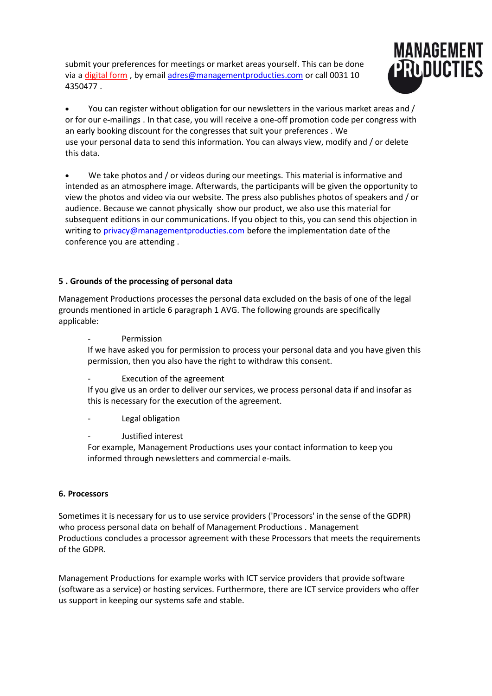submit your preferences for meetings or market areas yourself. This can be done via a [digital form](https://translate.google.com/translate?hl=nl&prev=_t&sl=nl&tl=en&u=https://www.flexmail.eu/f-ea09eb5aaeefb02e) , by email [adres@managementproducties.com](mailto:adres@managementproducties.com) or call 0031 10 4350477 .



 You can register without obligation for our newsletters in the various market areas and / or for our e-mailings . In that case, you will receive a one-off promotion code per congress with an early booking discount for the congresses that suit your preferences . We use your personal data to send this information. You can always view, modify and / or delete this data.

 We take photos and / or videos during our meetings. This material is informative and intended as an atmosphere image. Afterwards, the participants will be given the opportunity to view the photos and video via our website. The press also publishes photos of speakers and / or audience. Because we cannot physically show our product, we also use this material for subsequent editions in our communications. If you object to this, you can send this objection in writing to [privacy@managementproducties.com](mailto:privacy@managementproducties.com) before the implementation date of the conference you are attending .

# **5 . Grounds of the processing of personal data**

Management Productions processes the personal data excluded on the basis of one of the legal grounds mentioned in article 6 paragraph 1 AVG. The following grounds are specifically applicable:

Permission

If we have asked you for permission to process your personal data and you have given this permission, then you also have the right to withdraw this consent.

Execution of the agreement

If you give us an order to deliver our services, we process personal data if and insofar as this is necessary for the execution of the agreement.

Legal obligation

Justified interest

For example, Management Productions uses your contact information to keep you informed through newsletters and commercial e-mails.

#### **6. Processors**

Sometimes it is necessary for us to use service providers ('Processors' in the sense of the GDPR) who process personal data on behalf of Management Productions . Management Productions concludes a processor agreement with these Processors that meets the requirements of the GDPR.

Management Productions for example works with ICT service providers that provide software (software as a service) or hosting services. Furthermore, there are ICT service providers who offer us support in keeping our systems safe and stable.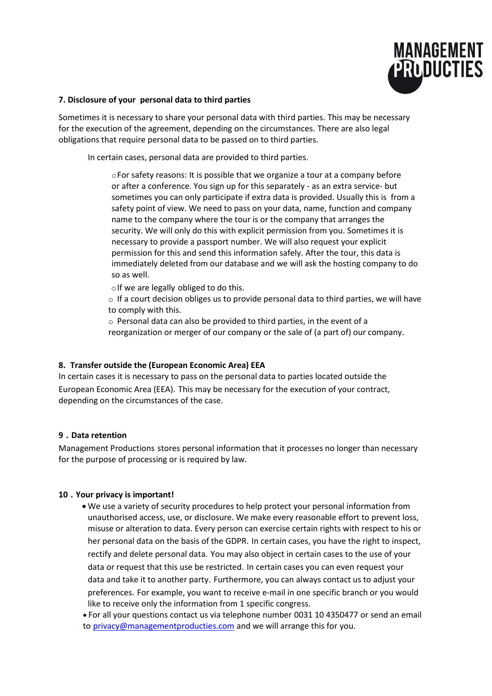

#### **7. Disclosure of your personal data to third parties**

Sometimes it is necessary to share your personal data with third parties. This may be necessary for the execution of the agreement, depending on the circumstances. There are also legal obligations that require personal data to be passed on to third parties.

In certain cases, personal data are provided to third parties.

oFor safety reasons: It is possible that we organize a tour at a company before or after a conference. You sign up for this separately - as an extra service- but sometimes you can only participate if extra data is provided. Usually this is from a safety point of view. We need to pass on your data, name, function and company name to the company where the tour is or the company that arranges the security. We will only do this with explicit permission from you. Sometimes it is necessary to provide a passport number. We will also request your explicit permission for this and send this information safely. After the tour, this data is immediately deleted from our database and we will ask the hosting company to do so as well.

 $\circ$  If we are legally obliged to do this.

 $\circ$  If a court decision obliges us to provide personal data to third parties, we will have to comply with this.

o Personal data can also be provided to third parties, in the event of a reorganization or merger of our company or the sale of (a part of) our company.

#### **8. Transfer outside the (European Economic Area) EEA**

In certain cases it is necessary to pass on the personal data to parties located outside the European Economic Area (EEA). This may be necessary for the execution of your contract, depending on the circumstances of the case.

#### **9 . Data retention**

Management Productions stores personal information that it processes no longer than necessary for the purpose of processing or is required by law.

#### **10 . Your privacy is important!**

 We use a variety of security procedures to help protect your personal information from unauthorised access, use, or disclosure. We make every reasonable effort to prevent loss, misuse or alteration to data. Every person can exercise certain rights with respect to his or her personal data on the basis of the GDPR. In certain cases, you have the right to inspect, rectify and delete personal data. You may also object in certain cases to the use of your data or request that this use be restricted. In certain cases you can even request your data and take it to another party. Furthermore, you can always contact us to adjust your preferences. For example, you want to receive e-mail in one specific branch or you would like to receive only the information from 1 specific congress.

 For all your questions contact us via telephone number 0031 10 4350477 or send an email to [privacy@managementproducties.com](mailto:privacy@managementproducties.com) and we will arrange this for you.